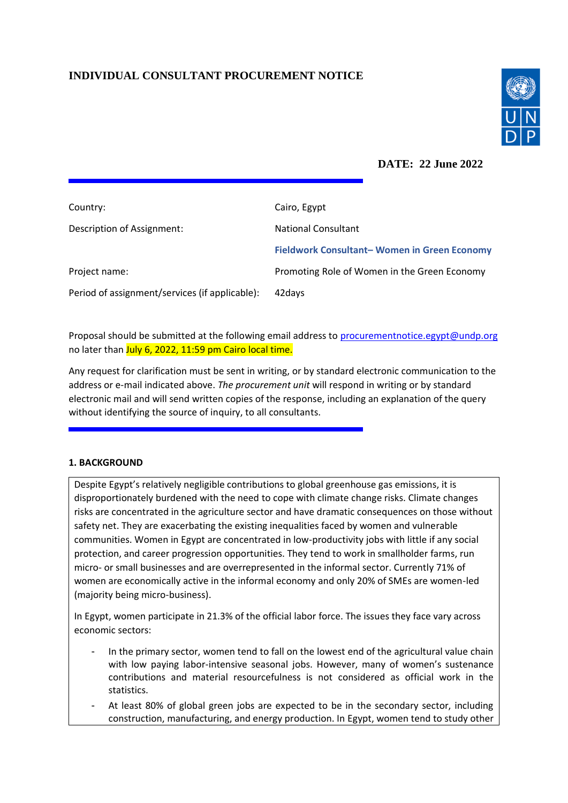# **INDIVIDUAL CONSULTANT PROCUREMENT NOTICE**



**DATE: 22 June 2022**

| Country:                                       | Cairo, Egypt                                 |
|------------------------------------------------|----------------------------------------------|
| Description of Assignment:                     | <b>National Consultant</b>                   |
|                                                | Fieldwork Consultant-Women in Green Economy  |
| Project name:                                  | Promoting Role of Women in the Green Economy |
| Period of assignment/services (if applicable): | 42 days                                      |

Proposal should be submitted at the following email address to [procurementnotice.egypt@undp.org](mailto:procurementnotice.egypt@undp.org) no later than July 6, 2022, 11:59 pm Cairo local time.

Any request for clarification must be sent in writing, or by standard electronic communication to the address or e-mail indicated above. *The procurement unit* will respond in writing or by standard electronic mail and will send written copies of the response, including an explanation of the query without identifying the source of inquiry, to all consultants.

### **1. BACKGROUND**

Despite Egypt's relatively negligible contributions to global greenhouse gas emissions, it is disproportionately burdened with the need to cope with climate change risks. Climate changes risks are concentrated in the agriculture sector and have dramatic consequences on those without safety net. They are exacerbating the existing inequalities faced by women and vulnerable communities. Women in Egypt are concentrated in low-productivity jobs with little if any social protection, and career progression opportunities. They tend to work in smallholder farms, run micro- or small businesses and are overrepresented in the informal sector. Currently 71% of women are economically active in the informal economy and only 20% of SMEs are women-led (majority being micro-business).

In Egypt, women participate in 21.3% of the official labor force. The issues they face vary across economic sectors:

- In the primary sector, women tend to fall on the lowest end of the agricultural value chain with low paying labor-intensive seasonal jobs. However, many of women's sustenance contributions and material resourcefulness is not considered as official work in the statistics.
- At least 80% of global green jobs are expected to be in the secondary sector, including construction, manufacturing, and energy production. In Egypt, women tend to study other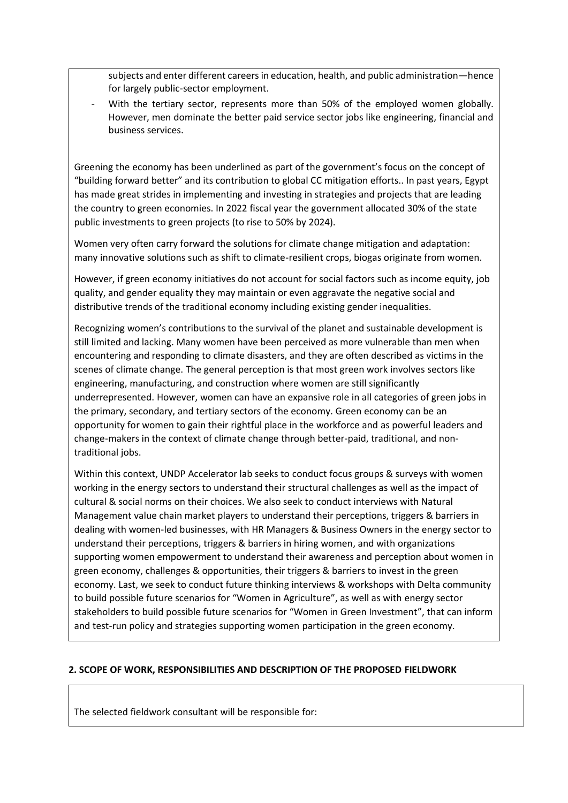subjects and enter different careers in education, health, and public administration—hence for largely public-sector employment.

With the tertiary sector, represents more than 50% of the employed women globally. However, men dominate the better paid service sector jobs like engineering, financial and business services.

Greening the economy has been underlined as part of the government's focus on the concept of "building forward better" and its contribution to global CC mitigation efforts.. In past years, Egypt has made great strides in implementing and investing in strategies and projects that are leading the country to green economies. In 2022 fiscal year the government allocated 30% of the state public investments to green projects (to rise to 50% by 2024).

Women very often carry forward the solutions for climate change mitigation and adaptation: many innovative solutions such as shift to climate-resilient crops, biogas originate from women.

However, if green economy initiatives do not account for social factors such as income equity, job quality, and gender equality they may maintain or even aggravate the negative social and distributive trends of the traditional economy including existing gender inequalities.

Recognizing women's contributions to the survival of the planet and sustainable development is still limited and lacking. Many women have been perceived as more vulnerable than men when encountering and responding to climate disasters, and they are often described as victims in the scenes of climate change. The general perception is that most green work involves sectors like engineering, manufacturing, and construction where women are still significantly underrepresented. However, women can have an expansive role in all categories of green jobs in the primary, secondary, and tertiary sectors of the economy. Green economy can be an opportunity for women to gain their rightful place in the workforce and as powerful leaders and change-makers in the context of climate change through better-paid, traditional, and nontraditional jobs.

Within this context, UNDP Accelerator lab seeks to conduct focus groups & surveys with women working in the energy sectors to understand their structural challenges as well as the impact of cultural & social norms on their choices. We also seek to conduct interviews with Natural Management value chain market players to understand their perceptions, triggers & barriers in dealing with women-led businesses, with HR Managers & Business Owners in the energy sector to understand their perceptions, triggers & barriers in hiring women, and with organizations supporting women empowerment to understand their awareness and perception about women in green economy, challenges & opportunities, their triggers & barriers to invest in the green economy. Last, we seek to conduct future thinking interviews & workshops with Delta community to build possible future scenarios for "Women in Agriculture", as well as with energy sector stakeholders to build possible future scenarios for "Women in Green Investment", that can inform and test-run policy and strategies supporting women participation in the green economy.

#### **2. SCOPE OF WORK, RESPONSIBILITIES AND DESCRIPTION OF THE PROPOSED FIELDWORK**

The selected fieldwork consultant will be responsible for: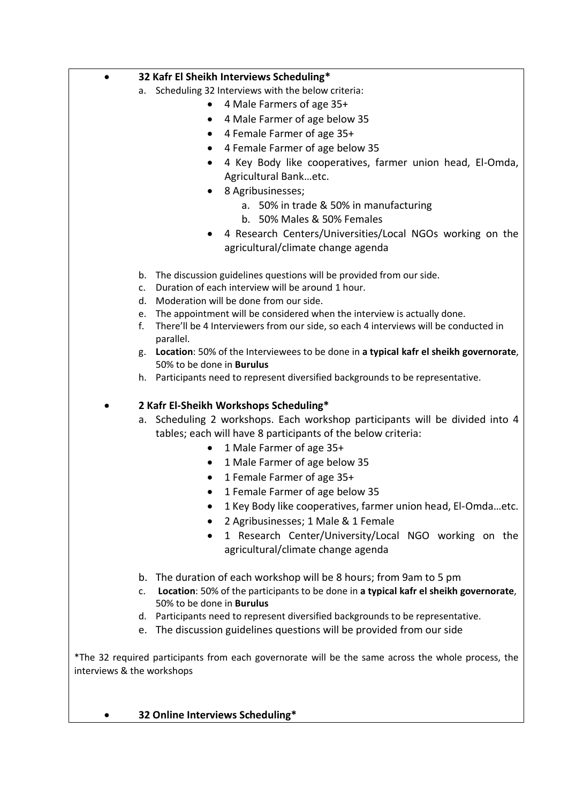# a. Scheduling 32 Interviews with the below criteria: • 4 Male Farmers of age 35+ • 4 Male Farmer of age below 35 • 4 Female Farmer of age 35+ • 4 Female Farmer of age below 35 • 4 Key Body like cooperatives, farmer union head, El-Omda, Agricultural Bank…etc. • 8 Agribusinesses; a. 50% in trade & 50% in manufacturing b. 50% Males & 50% Females • 4 Research Centers/Universities/Local NGOs working on the agricultural/climate change agenda b. The discussion guidelines questions will be provided from our side. c. Duration of each interview will be around 1 hour. d. Moderation will be done from our side. e. The appointment will be considered when the interview is actually done.

• **32 Kafr El Sheikh Interviews Scheduling\***

- f. There'll be 4 Interviewers from our side, so each 4 interviews will be conducted in parallel.
- g. **Location**: 50% of the Interviewees to be done in **a typical kafr el sheikh governorate**, 50% to be done in **Burulus**
- h. Participants need to represent diversified backgrounds to be representative.

• **2 Kafr El-Sheikh Workshops Scheduling\***

a. Scheduling 2 workshops. Each workshop participants will be divided into 4 tables; each will have 8 participants of the below criteria:

- 1 Male Farmer of age 35+
- 1 Male Farmer of age below 35
- 1 Female Farmer of age 35+
- 1 Female Farmer of age below 35
- 1 Key Body like cooperatives, farmer union head, El-Omda…etc.
- 2 Agribusinesses; 1 Male & 1 Female
- 1 Research Center/University/Local NGO working on the agricultural/climate change agenda
- b. The duration of each workshop will be 8 hours; from 9am to 5 pm
- c. **Location**: 50% of the participants to be done in **a typical kafr el sheikh governorate**, 50% to be done in **Burulus**
- d. Participants need to represent diversified backgrounds to be representative.
- e. The discussion guidelines questions will be provided from our side

\*The 32 required participants from each governorate will be the same across the whole process, the interviews & the workshops

• **32 Online Interviews Scheduling\***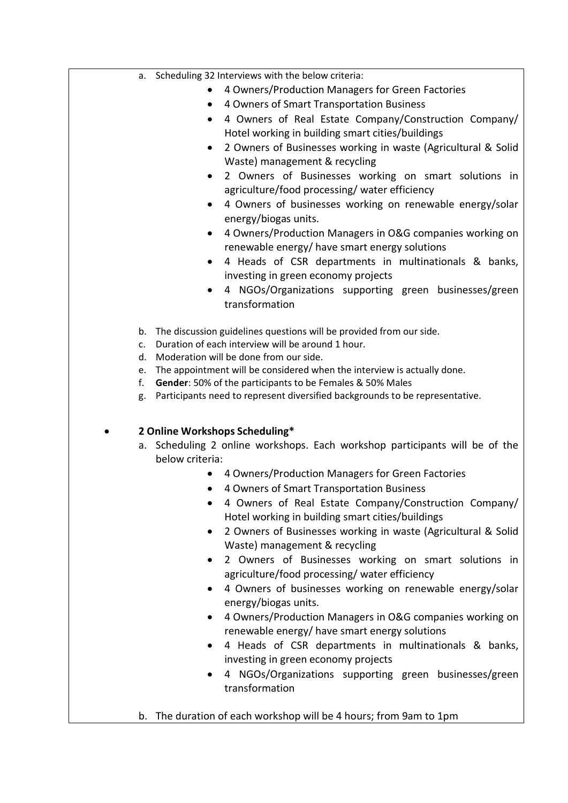- a. Scheduling 32 Interviews with the below criteria:
	- 4 Owners/Production Managers for Green Factories
	- 4 Owners of Smart Transportation Business
	- 4 Owners of Real Estate Company/Construction Company/ Hotel working in building smart cities/buildings
	- 2 Owners of Businesses working in waste (Agricultural & Solid Waste) management & recycling
	- 2 Owners of Businesses working on smart solutions in agriculture/food processing/ water efficiency
	- 4 Owners of businesses working on renewable energy/solar energy/biogas units.
	- 4 Owners/Production Managers in O&G companies working on renewable energy/ have smart energy solutions
	- 4 Heads of CSR departments in multinationals & banks, investing in green economy projects
	- 4 NGOs/Organizations supporting green businesses/green transformation
- b. The discussion guidelines questions will be provided from our side.
- c. Duration of each interview will be around 1 hour.
- d. Moderation will be done from our side.
- e. The appointment will be considered when the interview is actually done.
- f. **Gender**: 50% of the participants to be Females & 50% Males
- g. Participants need to represent diversified backgrounds to be representative.

# • **2 Online Workshops Scheduling\***

- a. Scheduling 2 online workshops. Each workshop participants will be of the below criteria:
	- 4 Owners/Production Managers for Green Factories
	- 4 Owners of Smart Transportation Business
	- 4 Owners of Real Estate Company/Construction Company/ Hotel working in building smart cities/buildings
	- 2 Owners of Businesses working in waste (Agricultural & Solid Waste) management & recycling
	- 2 Owners of Businesses working on smart solutions in agriculture/food processing/ water efficiency
	- 4 Owners of businesses working on renewable energy/solar energy/biogas units.
	- 4 Owners/Production Managers in O&G companies working on renewable energy/ have smart energy solutions
	- 4 Heads of CSR departments in multinationals & banks, investing in green economy projects
	- 4 NGOs/Organizations supporting green businesses/green transformation

b. The duration of each workshop will be 4 hours; from 9am to 1pm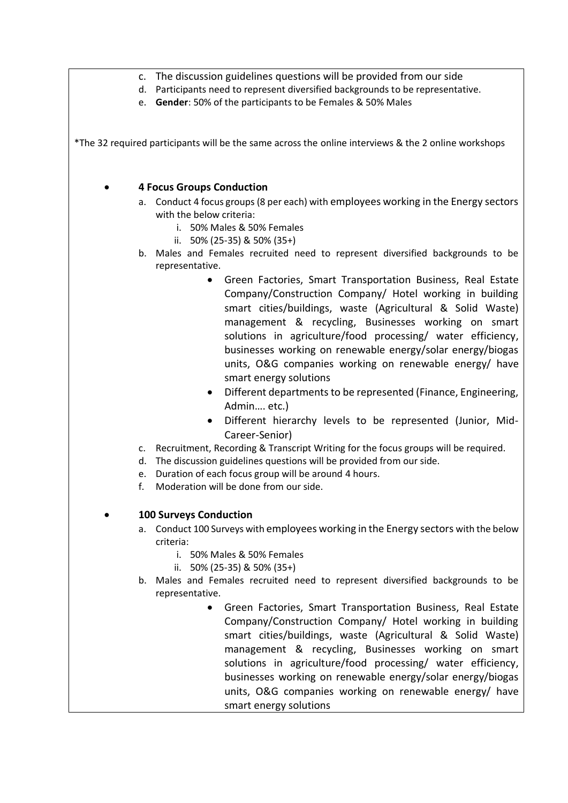- c. The discussion guidelines questions will be provided from our side
- d. Participants need to represent diversified backgrounds to be representative.
- e. **Gender**: 50% of the participants to be Females & 50% Males

\*The 32 required participants will be the same across the online interviews & the 2 online workshops

### • **4 Focus Groups Conduction**

- a. Conduct 4 focus groups (8 per each) with employees working in the Energy sectors with the below criteria:
	- i. 50% Males & 50% Females
	- ii. 50% (25-35) & 50% (35+)
- b. Males and Females recruited need to represent diversified backgrounds to be representative.
	- Green Factories, Smart Transportation Business, Real Estate Company/Construction Company/ Hotel working in building smart cities/buildings, waste (Agricultural & Solid Waste) management & recycling, Businesses working on smart solutions in agriculture/food processing/ water efficiency, businesses working on renewable energy/solar energy/biogas units, O&G companies working on renewable energy/ have smart energy solutions
	- Different departments to be represented (Finance, Engineering, Admin…. etc.)
	- Different hierarchy levels to be represented (Junior, Mid-Career-Senior)
- c. Recruitment, Recording & Transcript Writing for the focus groups will be required.
- d. The discussion guidelines questions will be provided from our side.
- e. Duration of each focus group will be around 4 hours.
- f. Moderation will be done from our side.

# • **100 Surveys Conduction**

- a. Conduct 100 Surveys with employees working in the Energy sectors with the below criteria:
	- i. 50% Males & 50% Females
	- ii. 50% (25-35) & 50% (35+)
- b. Males and Females recruited need to represent diversified backgrounds to be representative.
	- Green Factories, Smart Transportation Business, Real Estate Company/Construction Company/ Hotel working in building smart cities/buildings, waste (Agricultural & Solid Waste) management & recycling, Businesses working on smart solutions in agriculture/food processing/ water efficiency, businesses working on renewable energy/solar energy/biogas units, O&G companies working on renewable energy/ have smart energy solutions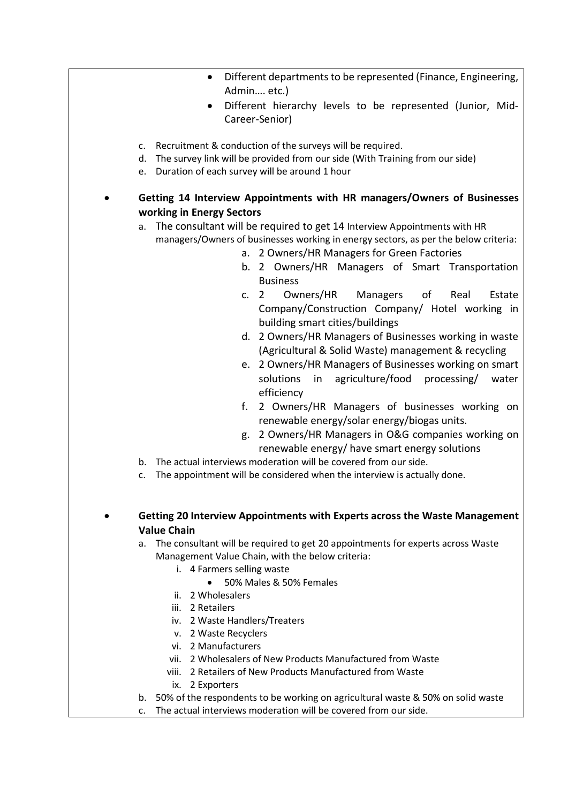- Different departments to be represented (Finance, Engineering, Admin…. etc.)
- Different hierarchy levels to be represented (Junior, Mid-Career-Senior)
- c. Recruitment & conduction of the surveys will be required.
- d. The survey link will be provided from our side (With Training from our side)
- e. Duration of each survey will be around 1 hour

• **Getting 14 Interview Appointments with HR managers/Owners of Businesses working in Energy Sectors**

- a. The consultant will be required to get 14 Interview Appointments with HR managers/Owners of businesses working in energy sectors, as per the below criteria:
	- a. 2 Owners/HR Managers for Green Factories
	- b. 2 Owners/HR Managers of Smart Transportation Business
	- c. 2 Owners/HR Managers of Real Estate Company/Construction Company/ Hotel working in building smart cities/buildings
	- d. 2 Owners/HR Managers of Businesses working in waste (Agricultural & Solid Waste) management & recycling
	- e. 2 Owners/HR Managers of Businesses working on smart solutions in agriculture/food processing/ water efficiency
	- f. 2 Owners/HR Managers of businesses working on renewable energy/solar energy/biogas units.
	- g. 2 Owners/HR Managers in O&G companies working on renewable energy/ have smart energy solutions
- b. The actual interviews moderation will be covered from our side.
- c. The appointment will be considered when the interview is actually done.
- **Getting 20 Interview Appointments with Experts across the Waste Management Value Chain**

a. The consultant will be required to get 20 appointments for experts across Waste Management Value Chain, with the below criteria:

- i. 4 Farmers selling waste
	- 50% Males & 50% Females
- ii. 2 Wholesalers
- iii. 2 Retailers
- iv. 2 Waste Handlers/Treaters
- v. 2 Waste Recyclers
- vi. 2 Manufacturers
- vii. 2 Wholesalers of New Products Manufactured from Waste
- viii. 2 Retailers of New Products Manufactured from Waste
- ix. 2 Exporters
- b. 50% of the respondents to be working on agricultural waste & 50% on solid waste
- c. The actual interviews moderation will be covered from our side.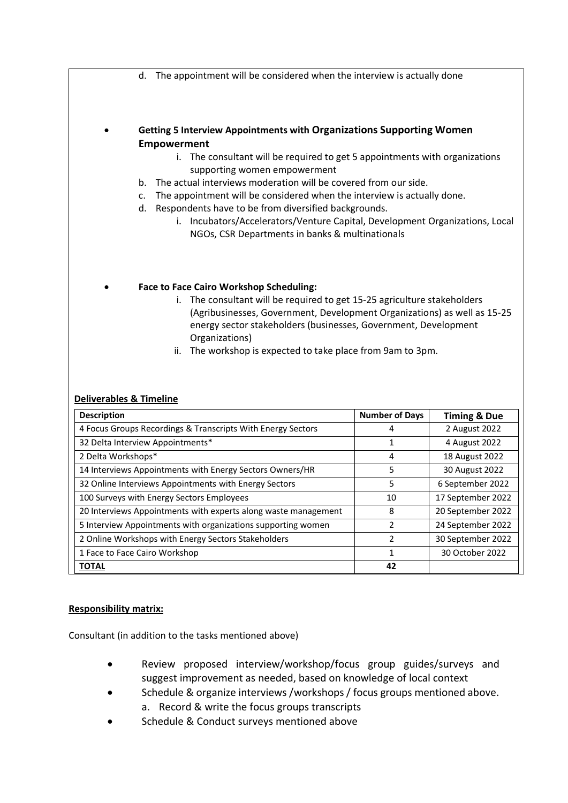d. The appointment will be considered when the interview is actually done

• **Getting 5 Interview Appointments with Organizations Supporting Women Empowerment** 

- i. The consultant will be required to get 5 appointments with organizations supporting women empowerment
- b. The actual interviews moderation will be covered from our side.
- c. The appointment will be considered when the interview is actually done.
- d. Respondents have to be from diversified backgrounds.
	- i. Incubators/Accelerators/Venture Capital, Development Organizations, Local NGOs, CSR Departments in banks & multinationals

#### • **Face to Face Cairo Workshop Scheduling:**

- i. The consultant will be required to get 15-25 agriculture stakeholders (Agribusinesses, Government, Development Organizations) as well as 15-25 energy sector stakeholders (businesses, Government, Development Organizations)
- ii. The workshop is expected to take place from 9am to 3pm.

#### **Deliverables & Timeline**

| <b>Description</b>                                             | <b>Number of Days</b> | <b>Timing &amp; Due</b> |
|----------------------------------------------------------------|-----------------------|-------------------------|
| 4 Focus Groups Recordings & Transcripts With Energy Sectors    |                       | 2 August 2022           |
| 32 Delta Interview Appointments*                               |                       | 4 August 2022           |
| 2 Delta Workshops*                                             | 4                     | 18 August 2022          |
| 14 Interviews Appointments with Energy Sectors Owners/HR       | 5                     | 30 August 2022          |
| 32 Online Interviews Appointments with Energy Sectors          | 5                     | 6 September 2022        |
| 100 Surveys with Energy Sectors Employees                      | 10                    | 17 September 2022       |
| 20 Interviews Appointments with experts along waste management | 8                     | 20 September 2022       |
| 5 Interview Appointments with organizations supporting women   | 2                     | 24 September 2022       |
| 2 Online Workshops with Energy Sectors Stakeholders            | 2                     | 30 September 2022       |
| 1 Face to Face Cairo Workshop                                  | 1                     | 30 October 2022         |
| <b>TOTAL</b>                                                   | 42                    |                         |

#### **Responsibility matrix:**

Consultant (in addition to the tasks mentioned above)

- Review proposed interview/workshop/focus group guides/surveys and suggest improvement as needed, based on knowledge of local context
- Schedule & organize interviews /workshops / focus groups mentioned above. a. Record & write the focus groups transcripts
- Schedule & Conduct surveys mentioned above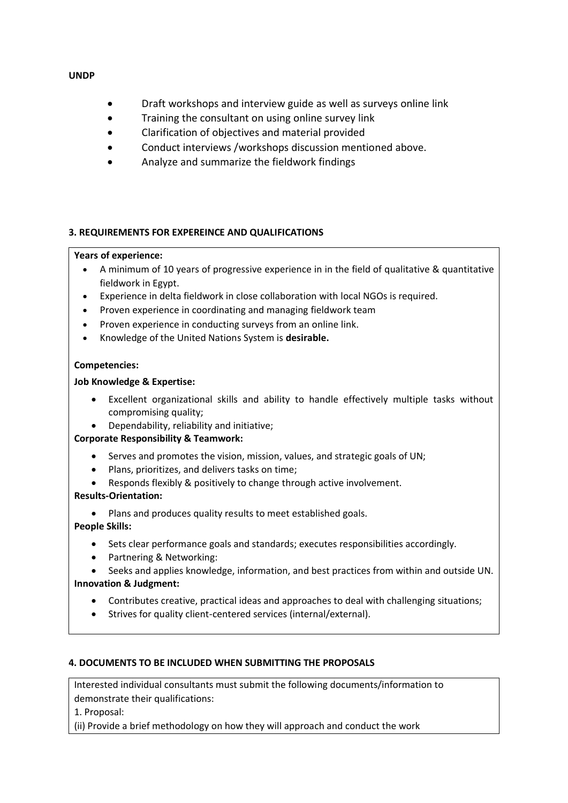#### **UNDP**

- Draft workshops and interview guide as well as surveys online link
- Training the consultant on using online survey link
- Clarification of objectives and material provided
- Conduct interviews /workshops discussion mentioned above.
- Analyze and summarize the fieldwork findings

### **3. REQUIREMENTS FOR EXPEREINCE AND QUALIFICATIONS**

#### **Years of experience:**

- A minimum of 10 years of progressive experience in in the field of qualitative & quantitative fieldwork in Egypt.
- Experience in delta fieldwork in close collaboration with local NGOs is required.
- Proven experience in coordinating and managing fieldwork team
- Proven experience in conducting surveys from an online link.
- Knowledge of the United Nations System is **desirable.**

### **Competencies:**

### **Job Knowledge & Expertise:**

- Excellent organizational skills and ability to handle effectively multiple tasks without compromising quality;
- Dependability, reliability and initiative;

### **Corporate Responsibility & Teamwork:**

- Serves and promotes the vision, mission, values, and strategic goals of UN;
- Plans, prioritizes, and delivers tasks on time;
- Responds flexibly & positively to change through active involvement.

### **Results-Orientation:**

• Plans and produces quality results to meet established goals.

# **People Skills:**

- Sets clear performance goals and standards; executes responsibilities accordingly.
- Partnering & Networking:
- Seeks and applies knowledge, information, and best practices from within and outside UN.

### **Innovation & Judgment:**

- Contributes creative, practical ideas and approaches to deal with challenging situations;
- Strives for quality client-centered services (internal/external).

### **4. DOCUMENTS TO BE INCLUDED WHEN SUBMITTING THE PROPOSALS**

Interested individual consultants must submit the following documents/information to demonstrate their qualifications:

1. Proposal:

(ii) Provide a brief methodology on how they will approach and conduct the work